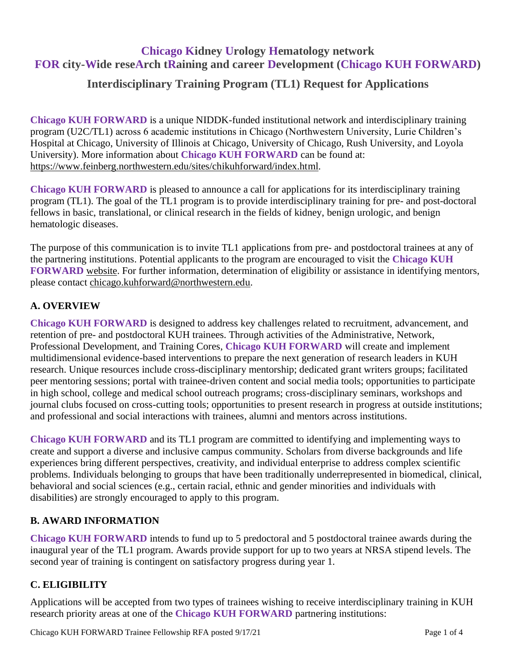# **Chicago Kidney Urology Hematology network FOR city-Wide reseArch tRaining and career Development (Chicago KUH FORWARD)**

## **Interdisciplinary Training Program (TL1) Request for Applications**

**Chicago KUH FORWARD** is a unique NIDDK-funded institutional network and interdisciplinary training program (U2C/TL1) across 6 academic institutions in Chicago (Northwestern University, Lurie Children's Hospital at Chicago, University of Illinois at Chicago, University of Chicago, Rush University, and Loyola University). More information about **Chicago KUH FORWARD** can be found at: [https://www.feinberg.northwestern.edu/sites/chikuhforward/index.html.](https://www.feinberg.northwestern.edu/sites/chikuhforward/index.html)

**Chicago KUH FORWARD** is pleased to announce a call for applications for its interdisciplinary training program (TL1). The goal of the TL1 program is to provide interdisciplinary training for pre- and post-doctoral fellows in basic, translational, or clinical research in the fields of kidney, benign urologic, and benign hematologic diseases.

The purpose of this communication is to invite TL1 applications from pre- and postdoctoral trainees at any of the partnering institutions. Potential applicants to the program are encouraged to visit the **Chicago KUH FORWARD** [website.](https://www.feinberg.northwestern.edu/sites/chikuhforward/index.html) For further information, determination of eligibility or assistance in identifying mentors, please contact [chicago.kuhforward@northwestern.edu.](mailto:chicago.kuhforward@northwestern.edu?subject=RFA%20inquiry)

## **A. OVERVIEW**

**Chicago KUH FORWARD** is designed to address key challenges related to recruitment, advancement, and retention of pre- and postdoctoral KUH trainees. Through activities of the Administrative, Network, Professional Development, and Training Cores, **Chicago KUH FORWARD** will create and implement multidimensional evidence-based interventions to prepare the next generation of research leaders in KUH research. Unique resources include cross-disciplinary mentorship; dedicated grant writers groups; facilitated peer mentoring sessions; portal with trainee-driven content and social media tools; opportunities to participate in high school, college and medical school outreach programs; cross-disciplinary seminars, workshops and journal clubs focused on cross-cutting tools; opportunities to present research in progress at outside institutions; and professional and social interactions with trainees, alumni and mentors across institutions.

**Chicago KUH FORWARD** and its TL1 program are committed to identifying and implementing ways to create and support a diverse and inclusive campus community. Scholars from diverse backgrounds and life experiences bring different perspectives, creativity, and individual enterprise to address complex scientific problems. Individuals belonging to groups that have been traditionally underrepresented in biomedical, clinical, behavioral and social sciences (e.g., certain racial, ethnic and gender minorities and individuals with disabilities) are strongly encouraged to apply to this program.

## **B. AWARD INFORMATION**

**Chicago KUH FORWARD** intends to fund up to 5 predoctoral and 5 postdoctoral trainee awards during the inaugural year of the TL1 program. Awards provide support for up to two years at NRSA stipend levels. The second year of training is contingent on satisfactory progress during year 1.

## **C. ELIGIBILITY**

Applications will be accepted from two types of trainees wishing to receive interdisciplinary training in KUH research priority areas at one of the **Chicago KUH FORWARD** partnering institutions: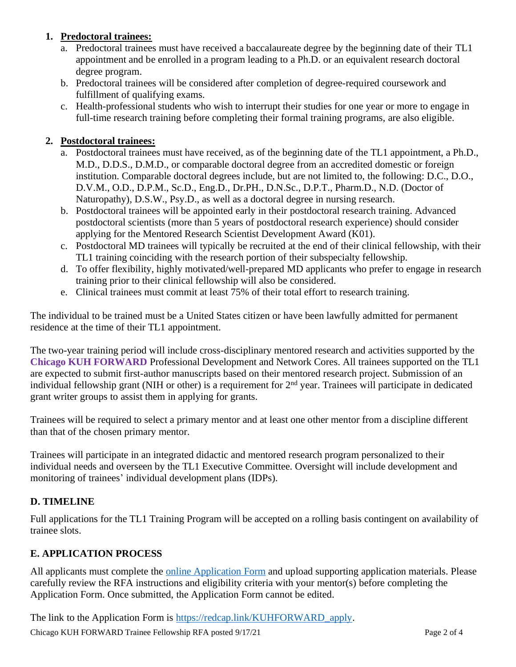## **1. Predoctoral trainees:**

- a. Predoctoral trainees must have received a baccalaureate degree by the beginning date of their TL1 appointment and be enrolled in a program leading to a Ph.D. or an equivalent research doctoral degree program.
- b. Predoctoral trainees will be considered after completion of degree-required coursework and fulfillment of qualifying exams.
- c. Health-professional students who wish to interrupt their studies for one year or more to engage in full-time research training before completing their formal training programs, are also eligible.

### **2. Postdoctoral trainees:**

- a. Postdoctoral trainees must have received, as of the beginning date of the TL1 appointment, a Ph.D., M.D., D.D.S., D.M.D., or comparable doctoral degree from an accredited domestic or foreign institution. Comparable doctoral degrees include, but are not limited to, the following: D.C., D.O., D.V.M., O.D., D.P.M., Sc.D., Eng.D., Dr.PH., D.N.Sc., D.P.T., Pharm.D., N.D. (Doctor of Naturopathy), D.S.W., Psy.D., as well as a doctoral degree in nursing research.
- b. Postdoctoral trainees will be appointed early in their postdoctoral research training. Advanced postdoctoral scientists (more than 5 years of postdoctoral research experience) should consider applying for the Mentored Research Scientist Development Award (K01).
- c. Postdoctoral MD trainees will typically be recruited at the end of their clinical fellowship, with their TL1 training coinciding with the research portion of their subspecialty fellowship.
- d. To offer flexibility, highly motivated/well-prepared MD applicants who prefer to engage in research training prior to their clinical fellowship will also be considered.
- e. Clinical trainees must commit at least 75% of their total effort to research training.

The individual to be trained must be a United States citizen or have been lawfully admitted for permanent residence at the time of their TL1 appointment.

The two-year training period will include cross-disciplinary mentored research and activities supported by the **Chicago KUH FORWARD** Professional Development and Network Cores. All trainees supported on the TL1 are expected to submit first-author manuscripts based on their mentored research project. Submission of an individual fellowship grant (NIH or other) is a requirement for 2<sup>nd</sup> year. Trainees will participate in dedicated grant writer groups to assist them in applying for grants.

Trainees will be required to select a primary mentor and at least one other mentor from a discipline different than that of the chosen primary mentor.

Trainees will participate in an integrated didactic and mentored research program personalized to their individual needs and overseen by the TL1 Executive Committee. Oversight will include development and monitoring of trainees' individual development plans (IDPs).

## **D. TIMELINE**

Full applications for the TL1 Training Program will be accepted on a rolling basis contingent on availability of trainee slots.

#### **E. APPLICATION PROCESS**

All applicants must complete the [online Application Form](https://redcap.link/KUHFORWARD_apply) and upload supporting application materials. Please carefully review the RFA instructions and eligibility criteria with your mentor(s) before completing the Application Form. Once submitted, the Application Form cannot be edited.

The link to the Application Form is [https://redcap.link/KUHFORWARD\\_apply.](https://redcap.link/KUHFORWARD_apply)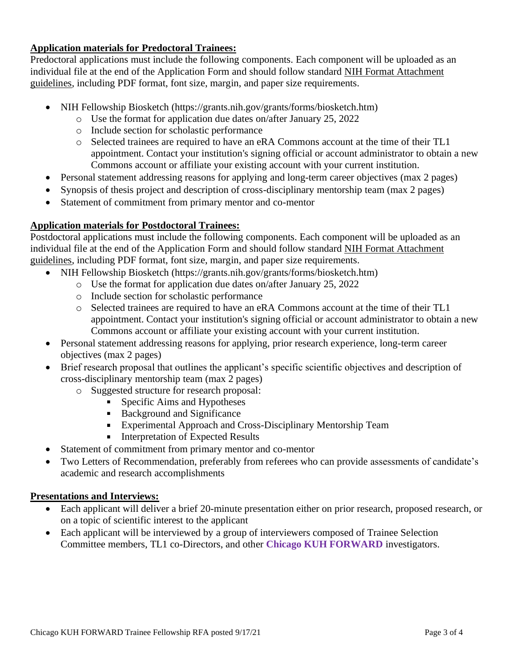### **Application materials for Predoctoral Trainees:**

Predoctoral applications must include the following components. Each component will be uploaded as an individual file at the end of the Application Form and should follow standard [NIH Format Attachment](https://grants.nih.gov/grants/how-to-apply-application-guide/format-and-write/format-attachments.htm)  [guidelines,](https://grants.nih.gov/grants/how-to-apply-application-guide/format-and-write/format-attachments.htm) including PDF format, font size, margin, and paper size requirements.

- NIH Fellowship Biosketch (https://grants.nih.gov/grants/forms/biosketch.htm)
	- o Use the format for application due dates on/after January 25, 2022
	- o Include section for scholastic performance
	- o Selected trainees are required to have an eRA Commons account at the time of their TL1 appointment. Contact your institution's signing official or account administrator to obtain a new Commons account or affiliate your existing account with your current institution.
- Personal statement addressing reasons for applying and long-term career objectives (max 2 pages)
- Synopsis of thesis project and description of cross-disciplinary mentorship team (max 2 pages)
- Statement of commitment from primary mentor and co-mentor

## **Application materials for Postdoctoral Trainees:**

Postdoctoral applications must include the following components. Each component will be uploaded as an individual file at the end of the Application Form and should follow standard [NIH Format Attachment](https://grants.nih.gov/grants/how-to-apply-application-guide/format-and-write/format-attachments.htm)  [guidelines,](https://grants.nih.gov/grants/how-to-apply-application-guide/format-and-write/format-attachments.htm) including PDF format, font size, margin, and paper size requirements.

- NIH Fellowship Biosketch (https://grants.nih.gov/grants/forms/biosketch.htm)
	- o Use the format for application due dates on/after January 25, 2022
	- o Include section for scholastic performance
	- o Selected trainees are required to have an eRA Commons account at the time of their TL1 appointment. Contact your institution's signing official or account administrator to obtain a new Commons account or affiliate your existing account with your current institution.
- Personal statement addressing reasons for applying, prior research experience, long-term career objectives (max 2 pages)
- Brief research proposal that outlines the applicant's specific scientific objectives and description of cross-disciplinary mentorship team (max 2 pages)
	- o Suggested structure for research proposal:
		- **Specific Aims and Hypotheses**
		- Background and Significance
		- **Experimental Approach and Cross-Disciplinary Mentorship Team**
		- **Interpretation of Expected Results**
- Statement of commitment from primary mentor and co-mentor
- Two Letters of Recommendation, preferably from referees who can provide assessments of candidate's academic and research accomplishments

## **Presentations and Interviews:**

- Each applicant will deliver a brief 20-minute presentation either on prior research, proposed research, or on a topic of scientific interest to the applicant
- Each applicant will be interviewed by a group of interviewers composed of Trainee Selection Committee members, TL1 co-Directors, and other **Chicago KUH FORWARD** investigators.